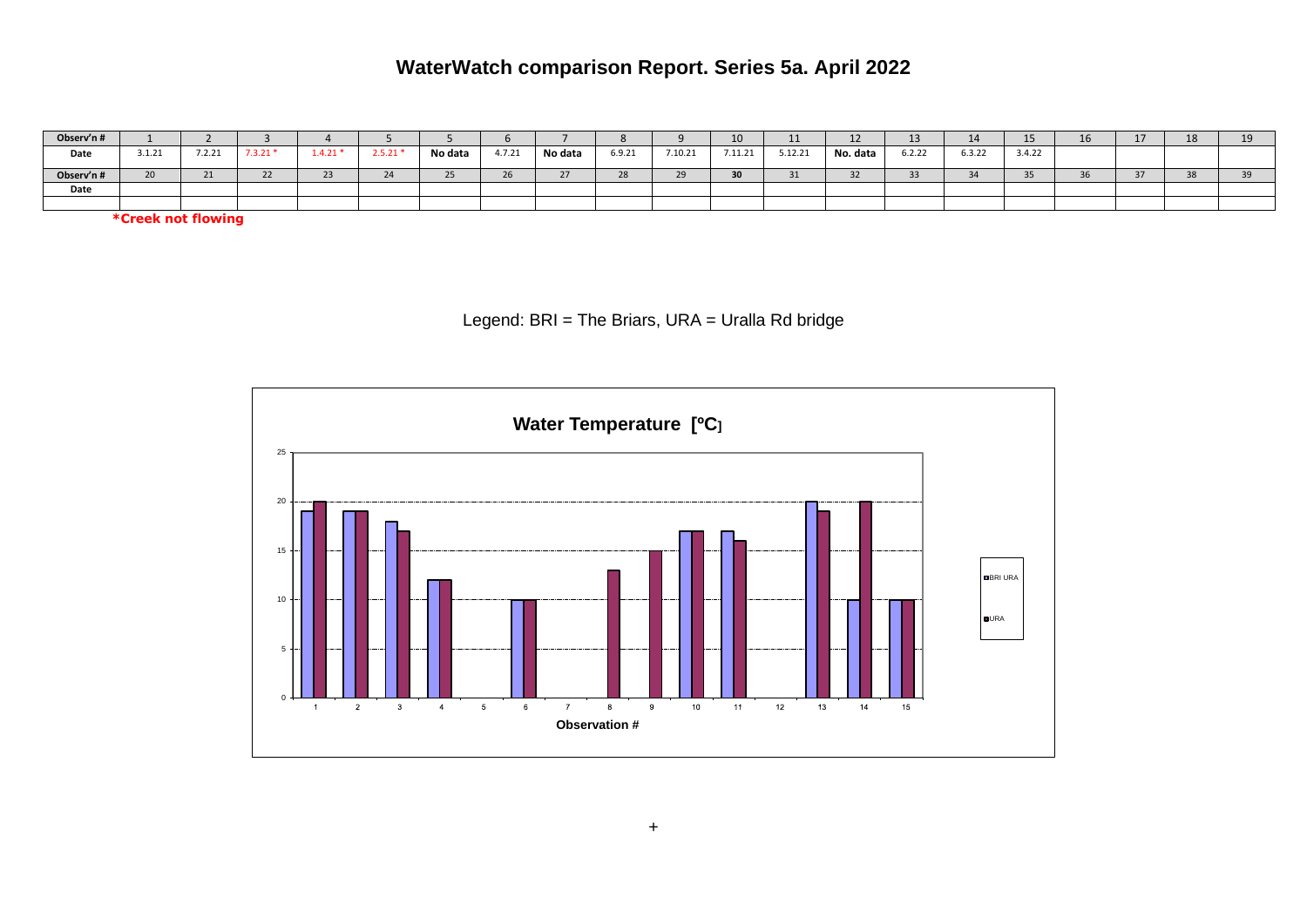## **WaterWatch comparison Report. Series 5a. April 2022**

| Observ'n # |        |                    |             |           |         |         |                          |         |        |         | 10      | <b></b>  | --       |                | -4     | ∸                | τv | 10<br>ᅭ      | -- |
|------------|--------|--------------------|-------------|-----------|---------|---------|--------------------------|---------|--------|---------|---------|----------|----------|----------------|--------|------------------|----|--------------|----|
| Date       | 3.1.21 | 7.2.21             | $7.3.21*$   | $1.4.21*$ | 2.5.21' | No data | 4.7.21                   | No data | 6.9.21 | 7.10.21 | 7.11.21 | 5.12.21  | No. data | 6.2.22         | 6.3.22 | 3.4.22           |    |              |    |
| Observ'n # | 20     | $\mathbf{a}$<br>21 | $\sim$<br>້ | --        | $-1$    |         | $\sim$<br>2 <sub>b</sub> | $\sim$  | 20     |         | 30      | 24<br>ᇰᆂ |          | <b>Service</b> |        | $\sim$ $-$<br>JJ |    | $20^{\circ}$ |    |
| Date       |        |                    |             |           |         |         |                          |         |        |         |         |          |          |                |        |                  |    |              |    |
|            |        |                    |             |           |         |         |                          |         |        |         |         |          |          |                |        |                  |    |              |    |

**\*Creek not flowing** 

Legend: BRI = The Briars, URA = Uralla Rd bridge

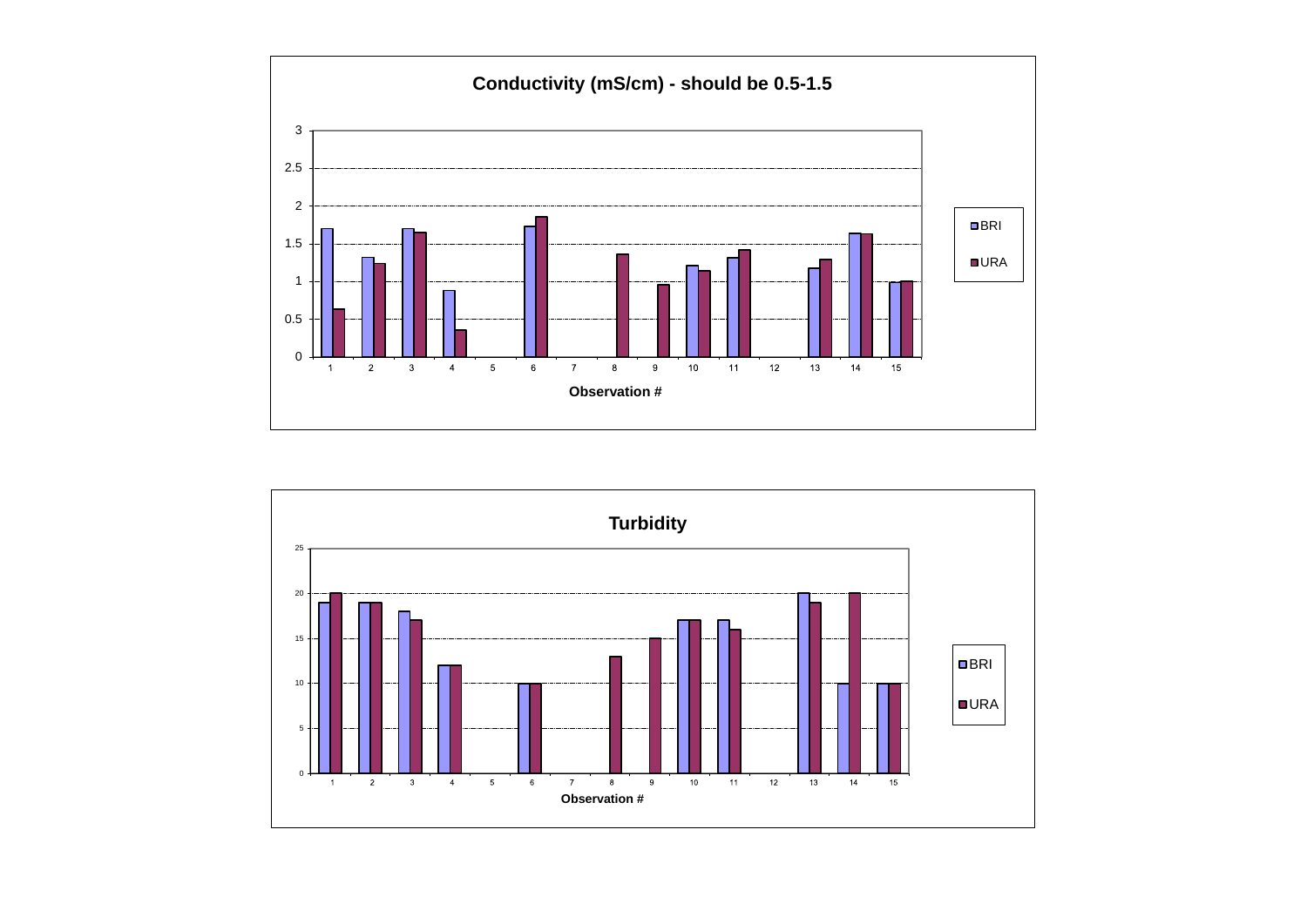

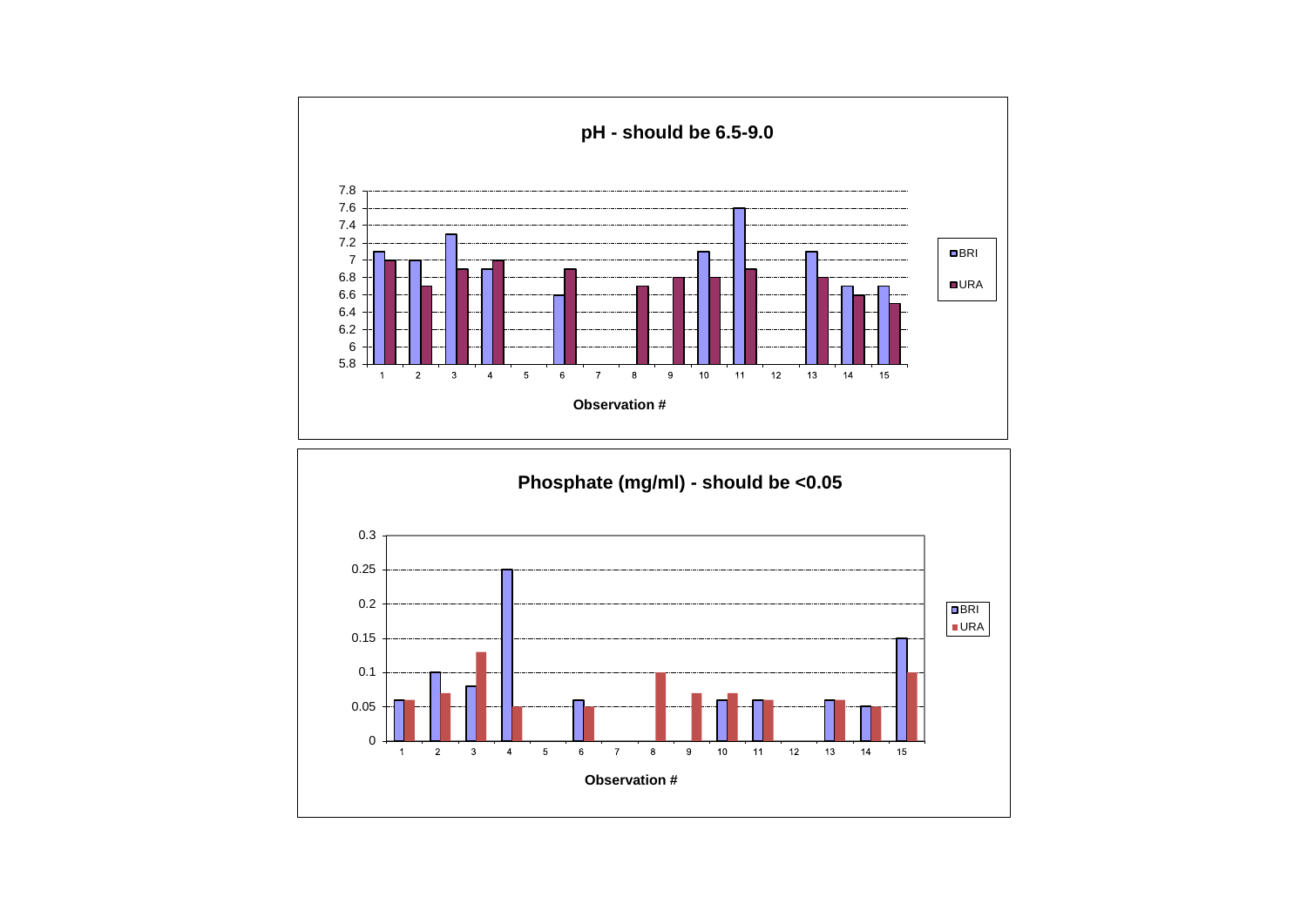